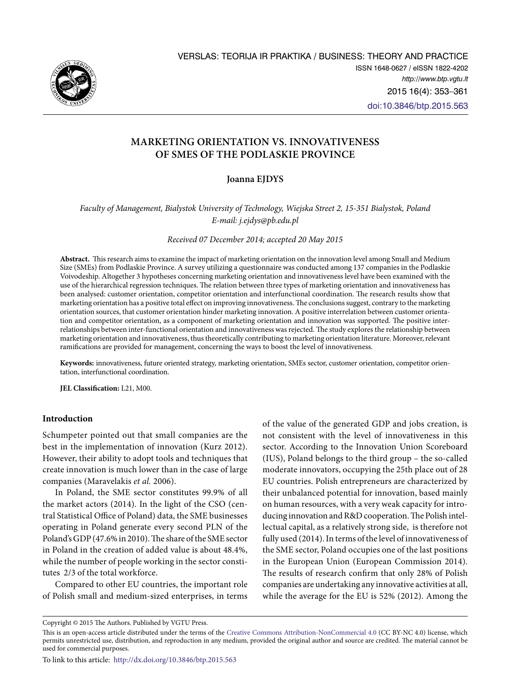

# **MARKETing ORIENTATION VS. INNOVATIVENESS OF SMEs OF THE PODLASKIE PROVINCE**

## **Joanna EJDYS**

*Faculty of Management, Bialystok University of Technology, Wiejska Street 2, 15-351 Bialystok, Poland E-mail: j.ejdys@pb.edu.pl* 

*Received 07 December 2014; accepted 20 May 2015*

**Abstract.** This research aims to examine the impact of marketing orientation on the innovation level among Small and Medium Size (SMEs) from Podlaskie Province. A survey utilizing a questionnaire was conducted among 137 companies in the Podlaskie Voivodeship. Altogether 3 hypotheses concerning marketing orientation and innovativeness level have been examined with the use of the hierarchical regression techniques. The relation between three types of marketing orientation and innovativeness has been analysed: customer orientation, competitor orientation and interfunctional coordination. The research results show that marketing orientation has a positive total effect on improving innovativeness. The conclusions suggest, contrary to the marketing orientation sources, that customer orientation hinder marketing innovation. A positive interrelation between customer orientation and competitor orientation, as a component of marketing orientation and innovation was supported. The positive interrelationships between inter-functional orientation and innovativeness was rejected. The study explores the relationship between marketing orientation and innovativeness, thus theoretically contributing to marketing orientation literature. Moreover, relevant ramifications are provided for management, concerning the ways to boost the level of innovativeness.

**Keywords:** innovativeness, future oriented strategy, marketing orientation, SMEs sector, customer orientation, competitor orientation, interfunctional coordination.

**JEL Classification:** L21, M00.

## **Introduction**

Schumpeter pointed out that small companies are the best in the implementation of innovation (Kurz 2012). However, their ability to adopt tools and techniques that create innovation is much lower than in the case of large companies (Maravelakis *et al.* 2006).

In Poland, the SME sector constitutes 99.9% of all the market actors (2014). In the light of the CSO (central Statistical Office of Poland) data, the SME businesses operating in Poland generate every second PLN of the Poland's GDP (47.6% in 2010). The share of the SME sector in Poland in the creation of added value is about 48.4%, while the number of people working in the sector constitutes 2/3 of the total workforce.

Compared to other EU countries, the important role of Polish small and medium-sized enterprises, in terms

of the value of the generated GDP and jobs creation, is not consistent with the level of innovativeness in this sector. According to the Innovation Union Scoreboard (IUS), Poland belongs to the third group – the so-called moderate innovators, occupying the 25th place out of 28 EU countries. Polish entrepreneurs are characterized by their unbalanced potential for innovation, based mainly on human resources, with a very weak capacity for introducing innovation and R&D cooperation. The Polish intellectual capital, as a relatively strong side, is therefore not fully used (2014). In terms of the level of innovativeness of the SME sector, Poland occupies one of the last positions in the European Union (European Commission 2014). The results of research confirm that only 28% of Polish companies are undertaking any innovative activities at all, while the average for the EU is 52% (2012). Among the

Copyright © 2015 The Authors. Published by VGTU Press.

This is an open-access article distributed under the terms of the [Creative Commons Attribution-NonCommercial 4.0](http://creativecommons.org/licenses/by-nc/4.0/) (CC BY-NC 4.0) license, which permits unrestricted use, distribution, and reproduction in any medium, provided the original author and source are credited. The material cannot be used for commercial purposes.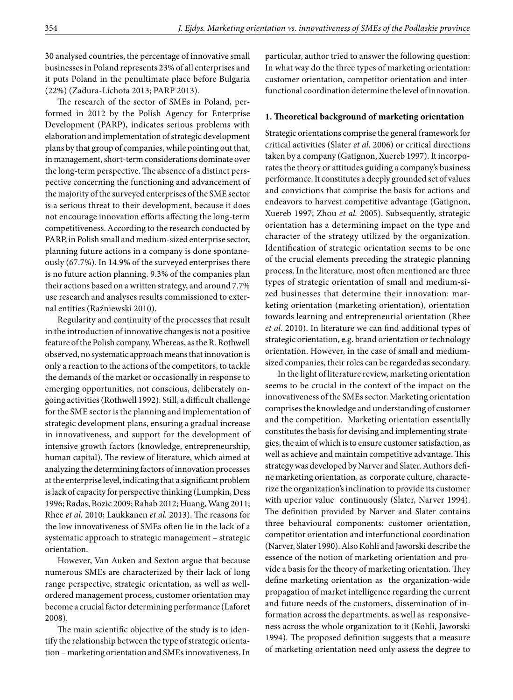30 analysed countries, the percentage of innovative small businesses in Poland represents 23% of all enterprises and it puts Poland in the penultimate place before Bulgaria (22%) (Zadura-Lichota 2013; PARP 2013).

The research of the sector of SMEs in Poland, performed in 2012 by the Polish Agency for Enterprise Development (PARP), indicates serious problems with elaboration and implementation of strategic development plans by that group of companies, while pointing out that, in management, short-term considerations dominate over the long-term perspective. The absence of a distinct perspective concerning the functioning and advancement of the majority of the surveyed enterprises of the SME sector is a serious threat to their development, because it does not encourage innovation efforts affecting the long-term competitiveness. According to the research conducted by PARP, in Polish small and medium-sized enterprise sector, planning future actions in a company is done spontaneously (67.7%). In 14.9% of the surveyed enterprises there is no future action planning. 9.3% of the companies plan their actions based on a written strategy, and around 7.7% use research and analyses results commissioned to external entities (Raźniewski 2010).

Regularity and continuity of the processes that result in the introduction of innovative changes is not a positive feature of the Polish company. Whereas, as the R. Rothwell observed, no systematic approach means that innovation is only a reaction to the actions of the competitors, to tackle the demands of the market or occasionally in response to emerging opportunities, not conscious, deliberately ongoing activities (Rothwell 1992). Still, a difficult challenge for the SME sector is the planning and implementation of strategic development plans, ensuring a gradual increase in innovativeness, and support for the development of intensive growth factors (knowledge, entrepreneurship, human capital). The review of literature, which aimed at analyzing the determining factors of innovation processes at the enterprise level, indicating that a significant problem is lack of capacity for perspective thinking (Lumpkin, Dess 1996; Radas, Bozic 2009; Rahab 2012; Huang, Wang 2011; Rhee *et al.* 2010; Laukkanen *et al.* 2013). The reasons for the low innovativeness of SMEs often lie in the lack of a systematic approach to strategic management – strategic orientation.

However, Van Auken and Sexton argue that because numerous SMEs are characterized by their lack of long range perspective, strategic orientation, as well as wellordered management process, customer orientation may become a crucial factor determining performance (Laforet 2008).

The main scientific objective of the study is to identify the relationship between the type of strategic orientation – marketing orientation and SMEs innovativeness. In particular, author tried to answer the following question: In what way do the three types of marketing orientation: customer orientation, competitor orientation and interfunctional coordination determine the level of innovation.

## **1. Theoretical background of marketing orientation**

Strategic orientations comprise the general framework for critical activities (Slater *et al*. 2006) or critical directions taken by a company (Gatignon, Xuereb 1997). It incorporates the theory or attitudes guiding a company's business performance. It constitutes a deeply grounded set of values and convictions that comprise the basis for actions and endeavors to harvest competitive advantage (Gatignon, Xuereb 1997; Zhou *et al.* 2005). Subsequently, strategic orientation has a determining impact on the type and character of the strategy utilized by the organization. Identification of strategic orientation seems to be one of the crucial elements preceding the strategic planning process. In the literature, most often mentioned are three types of strategic orientation of small and medium-sized businesses that determine their innovation: marketing orientation (marketing orientation), orientation towards learning and entrepreneurial orientation (Rhee *et al.* 2010). In literature we can find additional types of strategic orientation, e.g. brand orientation or technology orientation. However, in the case of small and mediumsized companies, their roles can be regarded as secondary.

In the light of literature review, marketing orientation seems to be crucial in the context of the impact on the innovativeness of the SMEs sector. Marketing orientation comprises the knowledge and understanding of customer and the competition. Marketing orientation essentially constitutes the basis for devising and implementing strategies, the aim of which is to ensure customer satisfaction, as well as achieve and maintain competitive advantage. This strategy was developed by Narver and Slater. Authors define marketing orientation, as corporate culture, characterize the organization's inclination to provide its customer with uperior value continuously (Slater, Narver 1994). The definition provided by Narver and Slater contains three behavioural components: customer orientation, competitor orientation and interfunctional coordination (Narver, Slater 1990). Also Kohli and Jaworski describe the essence of the notion of marketing orientation and provide a basis for the theory of marketing orientation. They define marketing orientation as the organization-wide propagation of market intelligence regarding the current and future needs of the customers, dissemination of information across the departments, as well as responsiveness across the whole organization to it (Kohli, Jaworski 1994). The proposed definition suggests that a measure of marketing orientation need only assess the degree to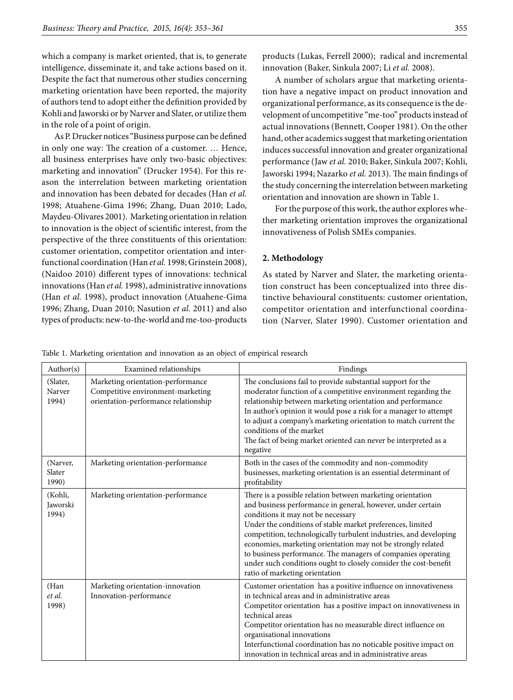which a company is market oriented, that is, to generate intelligence, disseminate it, and take actions based on it. Despite the fact that numerous other studies concerning marketing orientation have been reported, the majority of authors tend to adopt either the definition provided by Kohli and Jaworski or by Narver and Slater, or utilize them in the role of a point of origin.

As P. Drucker notices "Business purpose can be defined in only one way: The creation of a customer. … Hence, all business enterprises have only two-basic objectives: marketing and innovation" (Drucker 1954). For this reason the interrelation between marketing orientation and innovation has been debated for decades (Han *et al.* 1998; Atuahene-Gima 1996; Zhang, Duan 2010; Lado, Maydeu-Olivares 2001). Marketing orientation in relation to innovation is the object of scientific interest, from the perspective of the three constituents of this orientation: customer orientation, competitor orientation and interfunctional coordination (Han *et al.* 1998; Grinstein 2008), (Naidoo 2010) different types of innovations: technical innovations (Han *et al.* 1998), administrative innovations (Han *et al.* 1998), product innovation (Atuahene-Gima 1996; Zhang, Duan 2010; Nasution *et al.* 2011) and also types of products: new-to-the-world and me-too-products

products (Lukas, Ferrell 2000); radical and incremental innovation (Baker, Sinkula 2007; Li *et al.* 2008).

A number of scholars argue that marketing orientation have a negative impact on product innovation and organizational performance, as its consequence is the development of uncompetitive "me-too" products instead of actual innovations (Bennett, Cooper 1981). On the other hand, other academics suggest that marketing orientation induces successful innovation and greater organizational performance (Jaw *et al.* 2010; Baker, Sinkula 2007; Kohli, Jaworski 1994; Nazarko *et al.* 2013). The main findings of the study concerning the interrelation between marketing orientation and innovation are shown in Table 1.

For the purpose of this work, the author explores whether marketing orientation improves the organizational innovativeness of Polish SMEs companies.

## **2. Methodology**

As stated by Narver and Slater, the marketing orientation construct has been conceptualized into three distinctive behavioural constituents: customer orientation, competitor orientation and interfunctional coordination (Narver, Slater 1990). Customer orientation and

Table 1. Marketing orientation and innovation as an object of empirical research

| Author( $s$ )                | Examined relationships                                                                                         | Findings                                                                                                                                                                                                                                                                                                                                                                                                                                                                                                                                 |
|------------------------------|----------------------------------------------------------------------------------------------------------------|------------------------------------------------------------------------------------------------------------------------------------------------------------------------------------------------------------------------------------------------------------------------------------------------------------------------------------------------------------------------------------------------------------------------------------------------------------------------------------------------------------------------------------------|
| (Slater,<br>Narver<br>1994)  | Marketing orientation-performance<br>Competitive environment-marketing<br>orientation-performance relationship | The conclusions fail to provide substantial support for the<br>moderator function of a competitive environment regarding the<br>relationship between marketing orientation and performance<br>In author's opinion it would pose a risk for a manager to attempt<br>to adjust a company's marketing orientation to match current the<br>conditions of the market<br>The fact of being market oriented can never be interpreted as a<br>negative                                                                                           |
| (Narver,<br>Slater<br>1990)  | Marketing orientation-performance                                                                              | Both in the cases of the commodity and non-commodity<br>businesses, marketing orientation is an essential determinant of<br>profitability                                                                                                                                                                                                                                                                                                                                                                                                |
| (Kohli,<br>Jaworski<br>1994) | Marketing orientation-performance                                                                              | There is a possible relation between marketing orientation<br>and business performance in general, however, under certain<br>conditions it may not be necessary<br>Under the conditions of stable market preferences, limited<br>competition, technologically turbulent industries, and developing<br>economies, marketing orientation may not be strongly related<br>to business performance. The managers of companies operating<br>under such conditions ought to closely consider the cost-benefit<br>ratio of marketing orientation |
| (Han<br>et al.<br>1998)      | Marketing orientation-innovation<br>Innovation-performance                                                     | Customer orientation has a positive influence on innovativeness<br>in technical areas and in administrative areas<br>Competitor orientation has a positive impact on innovativeness in<br>technical areas<br>Competitor orientation has no measurable direct influence on<br>organisational innovations<br>Interfunctional coordination has no noticable positive impact on<br>innovation in technical areas and in administrative areas                                                                                                 |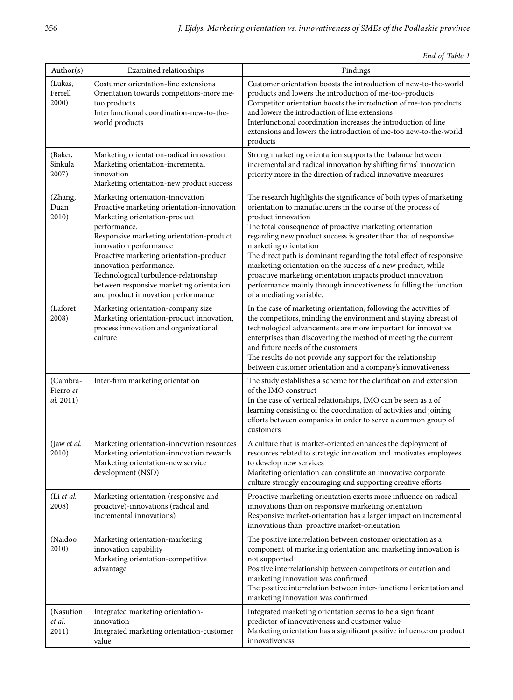*End of Table 1*

| Author(s)                          | Examined relationships                                                                                                                                                                                                                                                                                                                                                                                 | Findings                                                                                                                                                                                                                                                                                                                                                                                                                                                                                                                                                                                                                  |  |  |  |  |
|------------------------------------|--------------------------------------------------------------------------------------------------------------------------------------------------------------------------------------------------------------------------------------------------------------------------------------------------------------------------------------------------------------------------------------------------------|---------------------------------------------------------------------------------------------------------------------------------------------------------------------------------------------------------------------------------------------------------------------------------------------------------------------------------------------------------------------------------------------------------------------------------------------------------------------------------------------------------------------------------------------------------------------------------------------------------------------------|--|--|--|--|
| (Lukas,<br>Ferrell<br>2000)        | Costumer orientation-line extensions<br>Orientation towards competitors-more me-<br>too products<br>Interfunctional coordination-new-to-the-<br>world products                                                                                                                                                                                                                                         | Customer orientation boosts the introduction of new-to-the-world<br>products and lowers the introduction of me-too-products<br>Competitor orientation boosts the introduction of me-too products<br>and lowers the introduction of line extensions<br>Interfunctional coordination increases the introduction of line<br>extensions and lowers the introduction of me-too new-to-the-world<br>products                                                                                                                                                                                                                    |  |  |  |  |
| (Baker,<br>Sinkula<br>2007)        | Marketing orientation-radical innovation<br>Marketing orientation-incremental<br>innovation<br>Marketing orientation-new product success                                                                                                                                                                                                                                                               | Strong marketing orientation supports the balance between<br>incremental and radical innovation by shifting firms' innovation<br>priority more in the direction of radical innovative measures                                                                                                                                                                                                                                                                                                                                                                                                                            |  |  |  |  |
| (Zhang,<br>Duan<br>2010)           | Marketing orientation-innovation<br>Proactive marketing orientation-innovation<br>Marketing orientation-product<br>performance.<br>Responsive marketing orientation-product<br>innovation performance<br>Proactive marketing orientation-product<br>innovation performance.<br>Technological turbulence-relationship<br>between responsive marketing orientation<br>and product innovation performance | The research highlights the significance of both types of marketing<br>orientation to manufacturers in the course of the process of<br>product innovation<br>The total consequence of proactive marketing orientation<br>regarding new product success is greater than that of responsive<br>marketing orientation<br>The direct path is dominant regarding the total effect of responsive<br>marketing orientation on the success of a new product, while<br>proactive marketing orientation impacts product innovation<br>performance mainly through innovativeness fulfilling the function<br>of a mediating variable. |  |  |  |  |
| (Laforet<br>2008)                  | Marketing orientation-company size<br>Marketing orientation-product innovation,<br>process innovation and organizational<br>culture                                                                                                                                                                                                                                                                    | In the case of marketing orientation, following the activities of<br>the competitors, minding the environment and staying abreast of<br>technological advancements are more important for innovative<br>enterprises than discovering the method of meeting the current<br>and future needs of the customers<br>The results do not provide any support for the relationship<br>between customer orientation and a company's innovativeness                                                                                                                                                                                 |  |  |  |  |
| (Cambra-<br>Fierro et<br>al. 2011) | Inter-firm marketing orientation                                                                                                                                                                                                                                                                                                                                                                       | The study establishes a scheme for the clarification and extension<br>of the IMO construct<br>In the case of vertical relationships, IMO can be seen as a of<br>learning consisting of the coordination of activities and joining<br>efforts between companies in order to serve a common group of<br>customers                                                                                                                                                                                                                                                                                                           |  |  |  |  |
| (Jaw et al.<br>2010)               | Marketing orientation-innovation resources<br>Marketing orientation-innovation rewards<br>Marketing orientation-new service<br>development (NSD)                                                                                                                                                                                                                                                       | A culture that is market-oriented enhances the deployment of<br>resources related to strategic innovation and motivates employees<br>to develop new services<br>Marketing orientation can constitute an innovative corporate<br>culture strongly encouraging and supporting creative efforts                                                                                                                                                                                                                                                                                                                              |  |  |  |  |
| (Li et al.<br>2008)                | Marketing orientation (responsive and<br>proactive)-innovations (radical and<br>incremental innovations)                                                                                                                                                                                                                                                                                               | Proactive marketing orientation exerts more influence on radical<br>innovations than on responsive marketing orientation<br>Responsive market-orientation has a larger impact on incremental<br>innovations than proactive market-orientation                                                                                                                                                                                                                                                                                                                                                                             |  |  |  |  |
| (Naidoo<br>2010)                   | Marketing orientation-marketing<br>innovation capability<br>Marketing orientation-competitive<br>advantage                                                                                                                                                                                                                                                                                             | The positive interrelation between customer orientation as a<br>component of marketing orientation and marketing innovation is<br>not supported<br>Positive interrelationship between competitors orientation and<br>marketing innovation was confirmed<br>The positive interrelation between inter-functional orientation and<br>marketing innovation was confirmed                                                                                                                                                                                                                                                      |  |  |  |  |
| (Nasution<br>et al.<br>2011)       | Integrated marketing orientation-<br>innovation<br>Integrated marketing orientation-customer<br>value                                                                                                                                                                                                                                                                                                  | Integrated marketing orientation seems to be a significant<br>predictor of innovativeness and customer value<br>Marketing orientation has a significant positive influence on product<br>innovativeness                                                                                                                                                                                                                                                                                                                                                                                                                   |  |  |  |  |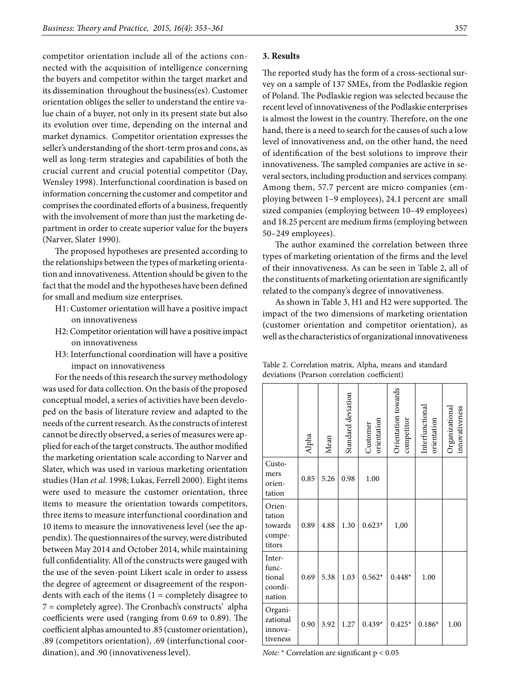competitor orientation include all of the actions connected with the acquisition of intelligence concerning the buyers and competitor within the target market and its dissemination throughout the business(es). Customer orientation obliges the seller to understand the entire value chain of a buyer, not only in its present state but also its evolution over time, depending on the internal and market dynamics. Competitor orientation expresses the seller's understanding of the short-term pros and cons, as well as long-term strategies and capabilities of both the crucial current and crucial potential competitor (Day, Wensley 1998). Interfunctional coordination is based on information concerning the customer and competitor and comprises the coordinated efforts of a business, frequently with the involvement of more than just the marketing department in order to create superior value for the buyers (Narver, Slater 1990).

The proposed hypotheses are presented according to the relationships between the types of marketing orientation and innovativeness. Attention should be given to the fact that the model and the hypotheses have been defined for small and medium size enterprises.

- H1: Customer orientation will have a positive impact on innovativeness
- H2: Competitor orientation will have a positive impact on innovativeness
- H3: Interfunctional coordination will have a positive impact on innovativeness

For the needs of this research the survey methodology was used for data collection. On the basis of the proposed conceptual model, a series of activities have been developed on the basis of literature review and adapted to the needs of the current research. As the constructs of interest cannot be directly observed, a series of measures were applied for each of the target constructs. The author modified the marketing orientation scale according to Narver and Slater, which was used in various marketing orientation studies (Han *et al.* 1998; Lukas, Ferrell 2000). Eight items were used to measure the customer orientation, three items to measure the orientation towards competitors, three items to measure interfunctional coordination and 10 items to measure the innovativeness level (see the appendix). The questionnaires of the survey, were distributed between May 2014 and October 2014, while maintaining full confidentiality. All of the constructs were gauged with the use of the seven-point Likert scale in order to assess the degree of agreement or disagreement of the respondents with each of the items  $(1 = \text{completely}})$  disagree to 7 = completely agree). The Cronbach's constructs' alpha coefficients were used (ranging from 0.69 to 0.89). The coefficient alphas amounted to .85 (customer orientation), .89 (competitors orientation), .69 (interfunctional coordination), and .90 (innovativeness level).

### **3. Results**

The reported study has the form of a cross-sectional survey on a sample of 137 SMEs, from the Podlaskie region of Poland. The Podlaskie region was selected because the recent level of innovativeness of the Podlaskie enterprises is almost the lowest in the country. Therefore, on the one hand, there is a need to search for the causes of such a low level of innovativeness and, on the other hand, the need of identification of the best solutions to improve their innovativeness. The sampled companies are active in several sectors, including production and services company. Among them, 57.7 percent are micro companies (employing between 1–9 employees), 24.1 percent are small sized companies (employing between 10–49 employees) and 18.25 percent are medium firms (employing between 50–249 employees).

The author examined the correlation between three types of marketing orientation of the firms and the level of their innovativeness. As can be seen in Table 2, all of the constituents of marketing orientation are significantly related to the company's degree of innovativeness.

As shown in Table 3, H1 and H2 were supported. The impact of the two dimensions of marketing orientation (customer orientation and competitor orientation), as well as the characteristics of organizational innovativeness

Table 2. Correlation matrix, Alpha, means and standard deviations (Pearson correlation coefficient)

|                                                 | Alpha | Mean | Standard deviation | orientation<br>Customer | Orientation towards<br>competitor | Interfunctional<br>orientation | innovativeness<br>Organizational |
|-------------------------------------------------|-------|------|--------------------|-------------------------|-----------------------------------|--------------------------------|----------------------------------|
| Custo-<br>mers<br>orien-<br>tation              | 0.85  | 5.26 | 0.98               | 1.00                    |                                   |                                |                                  |
| Orien-<br>tation<br>towards<br>compe-<br>titors | 0.89  | 4.88 | 1.30               | $0.623*$                | 1,00                              |                                |                                  |
| Inter-<br>func-<br>tional<br>coordi-<br>nation  | 0.69  | 5.38 | 1.03               | $0.562*$                | $0.448*$                          | 1.00                           |                                  |
| Organi-<br>zational<br>innova-<br>tiveness      | 0.90  | 3.92 | 1.27               | $0.439*$                | $0.425*$                          | $0.186*$                       | 1.00                             |

*Note:* \* Correlation are significant p < 0.05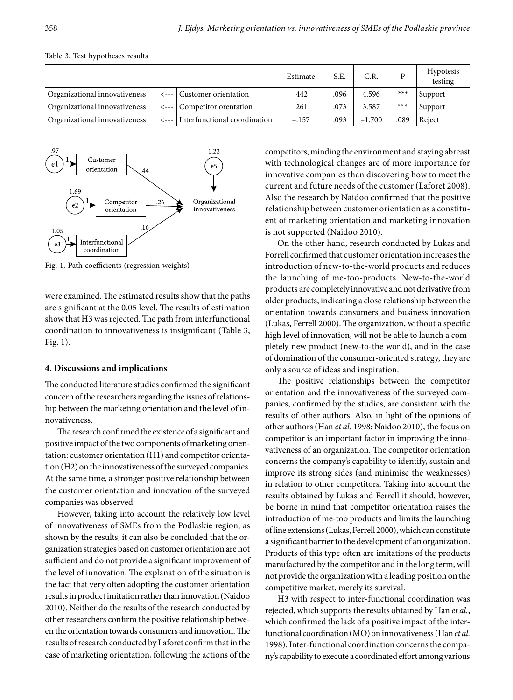|                               |  |                                     | Estimate | S.E. | C.R.     |       | <b>Hypotesis</b><br>testing |
|-------------------------------|--|-------------------------------------|----------|------|----------|-------|-----------------------------|
| Organizational innovativeness |  | <---   Customer orientation         | .442     | .096 | 4.596    | $***$ | Support                     |
| Organizational innovativeness |  | <---   Competitor orentation        | .261     | .073 | 3.587    | $***$ | Support                     |
| Organizational innovativeness |  | <---   Interfunctional coordination | $-.157$  | .093 | $-1.700$ | .089  | Reject                      |

Table 3. Test hypotheses results



Fig. 1. Path coefficients (regression weights)

were examined. The estimated results show that the paths are significant at the 0.05 level. The results of estimation show that H3 was rejected. The path from interfunctional coordination to innovativeness is insignificant (Table 3, Fig. 1).

#### **4. Discussions and implications**

The conducted literature studies confirmed the significant concern of the researchers regarding the issues of relationship between the marketing orientation and the level of innovativeness.

The research confirmed the existence of a significant and positive impact of the two components of marketing orientation: customer orientation (H1) and competitor orientation (H2) on the innovativeness of the surveyed companies. At the same time, a stronger positive relationship between the customer orientation and innovation of the surveyed companies was observed.

However, taking into account the relatively low level of innovativeness of SMEs from the Podlaskie region, as shown by the results, it can also be concluded that the organization strategies based on customer orientation are not sufficient and do not provide a significant improvement of the level of innovation. The explanation of the situation is the fact that very often adopting the customer orientation results in product imitation rather than innovation (Naidoo 2010). Neither do the results of the research conducted by other researchers confirm the positive relationship between the orientation towards consumers and innovation. The results of research conducted by Laforet confirm that in the case of marketing orientation, following the actions of the

competitors, minding the environment and staying abreast with technological changes are of more importance for innovative companies than discovering how to meet the current and future needs of the customer (Laforet 2008). Also the research by Naidoo confirmed that the positive relationship between customer orientation as a constituent of marketing orientation and marketing innovation is not supported (Naidoo 2010).

On the other hand, research conducted by Lukas and Forrell confirmed that customer orientation increases the introduction of new-to-the-world products and reduces the launching of me-too-products. New-to-the-world products are completely innovative and not derivative from older products, indicating a close relationship between the orientation towards consumers and business innovation (Lukas, Ferrell 2000). The organization, without a specific high level of innovation, will not be able to launch a completely new product (new-to-the world), and in the case of domination of the consumer-oriented strategy, they are only a source of ideas and inspiration.

The positive relationships between the competitor orientation and the innovativeness of the surveyed companies, confirmed by the studies, are consistent with the results of other authors. Also, in light of the opinions of other authors (Han *et al.* 1998; Naidoo 2010), the focus on competitor is an important factor in improving the innovativeness of an organization. The competitor orientation concerns the company's capability to identify, sustain and improve its strong sides (and minimise the weaknesses) in relation to other competitors. Taking into account the results obtained by Lukas and Ferrell it should, however, be borne in mind that competitor orientation raises the introduction of me-too products and limits the launching of line extensions (Lukas, Ferrell 2000), which can constitute a significant barrier to the development of an organization. Products of this type often are imitations of the products manufactured by the competitor and in the long term, will not provide the organization with a leading position on the competitive market, merely its survival.

H3 with respect to inter-functional coordination was rejected, which supports the results obtained by Han *et al.*, which confirmed the lack of a positive impact of the interfunctional coordination (MO) on innovativeness (Han *et al.* 1998). Inter-functional coordination concerns the company's capability to execute a coordinated effort among various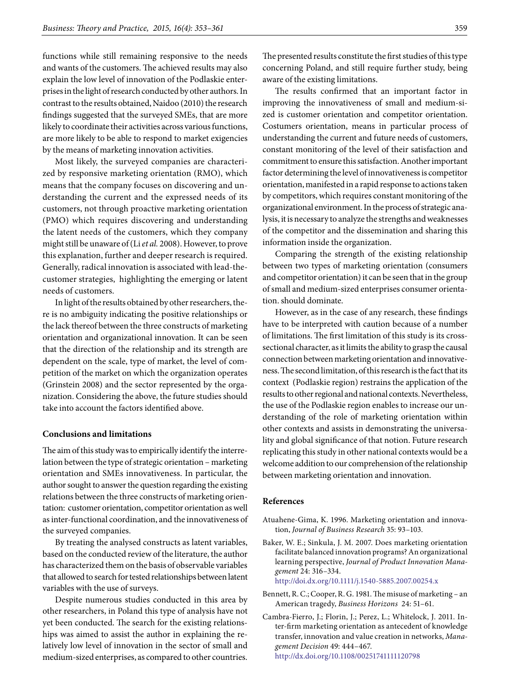functions while still remaining responsive to the needs and wants of the customers. The achieved results may also explain the low level of innovation of the Podlaskie enterprises in the light of research conducted by other authors. In contrast to the results obtained, Naidoo (2010) the research findings suggested that the surveyed SMEs, that are more likely to coordinate their activities across various functions, are more likely to be able to respond to market exigencies by the means of marketing innovation activities.

Most likely, the surveyed companies are characterized by responsive marketing orientation (RMO), which means that the company focuses on discovering and understanding the current and the expressed needs of its customers, not through proactive marketing orientation (PMO) which requires discovering and understanding the latent needs of the customers, which they company might still be unaware of (Li *et al.* 2008). However, to prove this explanation, further and deeper research is required. Generally, radical innovation is associated with lead-thecustomer strategies, highlighting the emerging or latent needs of customers.

In light of the results obtained by other researchers, there is no ambiguity indicating the positive relationships or the lack thereof between the three constructs of marketing orientation and organizational innovation. It can be seen that the direction of the relationship and its strength are dependent on the scale, type of market, the level of competition of the market on which the organization operates (Grinstein 2008) and the sector represented by the organization. Considering the above, the future studies should take into account the factors identified above.

#### **Conclusions and limitations**

The aim of this study was to empirically identify the interrelation between the type of strategic orientation – marketing orientation and SMEs innovativeness. In particular, the author sought to answer the question regarding the existing relations between the three constructs of marketing orientation: customer orientation, competitor orientation as well as inter-functional coordination, and the innovativeness of the surveyed companies.

By treating the analysed constructs as latent variables, based on the conducted review of the literature, the author has characterized them on the basis of observable variables that allowed to search for tested relationships between latent variables with the use of surveys.

Despite numerous studies conducted in this area by other researchers, in Poland this type of analysis have not yet been conducted. The search for the existing relationships was aimed to assist the author in explaining the relatively low level of innovation in the sector of small and medium-sized enterprises, as compared to other countries.

The presented results constitute the first studies of this type concerning Poland, and still require further study, being aware of the existing limitations.

The results confirmed that an important factor in improving the innovativeness of small and medium-sized is customer orientation and competitor orientation. Costumers orientation, means in particular process of understanding the current and future needs of customers, constant monitoring of the level of their satisfaction and commitment to ensure this satisfaction. Another important factor determining the level of innovativeness is competitor orientation, manifested in a rapid response to actions taken by competitors, which requires constant monitoring of the organizational environment. In the process of strategic analysis, it is necessary to analyze the strengths and weaknesses of the competitor and the dissemination and sharing this information inside the organization.

Comparing the strength of the existing relationship between two types of marketing orientation (consumers and competitor orientation) it can be seen that in the group of small and medium-sized enterprises consumer orientation. should dominate.

However, as in the case of any research, these findings have to be interpreted with caution because of a number of limitations. The first limitation of this study is its crosssectional character, as it limits the ability to grasp the causal connection between marketing orientation and innovativeness. The second limitation, of this research is the fact that its context (Podlaskie region) restrains the application of the results to other regional and national contexts. Nevertheless, the use of the Podlaskie region enables to increase our understanding of the role of marketing orientation within other contexts and assists in demonstrating the universality and global significance of that notion. Future research replicating this study in other national contexts would be a welcome addition to our comprehension of the relationship between marketing orientation and innovation.

### **References**

- Atuahene-Gima, K. 1996. Marketing orientation and innovation, *Journal of Business Research* 35: 93–103.
- Baker, W. E.; Sinkula, J. M. 2007. Does marketing orientation facilitate balanced innovation programs? An organizational learning perspective, *Journal of Product Innovation Management* 24: 316–334. http://doi.dx.org/10.1111/j.1540-5885.2007.00254.x
- Bennett, R. C.; Cooper, R. G. 1981. The misuse of marketing an American tragedy, *Business Horizons* 24: 51–61.
- Cambra-Fierro, J.; Florin, J.; Perez, L.; Whitelock, J. 2011. Inter-firm marketing orientation as antecedent of knowledge transfer, innovation and value creation in networks, *Management Decision* 49: 444–467. http://dx.doi.org/10.1108/00251741111120798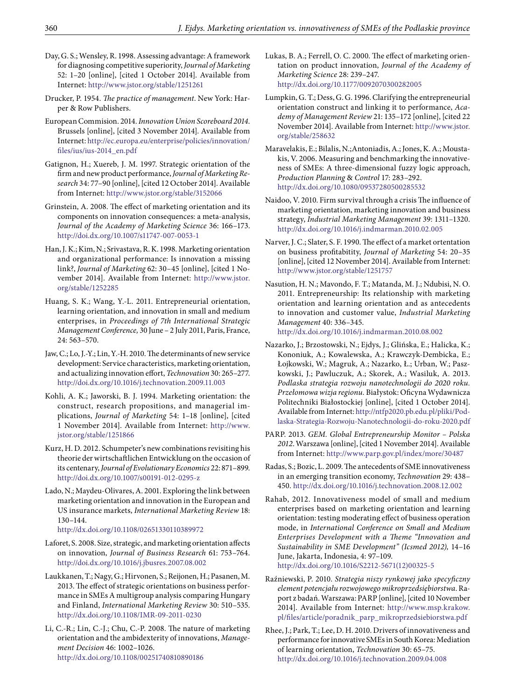- Day, G. S.; Wensley, R. 1998. Assessing advantage: A framework for diagnosing competitive superiority, *Journal of Marketing* 52: 1–20 [online], [cited 1 October 2014]. Available from Internet: http://www.jstor.org/stable/1251261
- Drucker, P. 1954. *The practice of management*. New York: Harper & Row Publishers.
- European Commision. 2014. *Innovation Union Scoreboard 2014*. Brussels [online], [cited 3 November 2014]. Available from Internet: http://ec.europa.eu/enterprise/policies/innovation/ files/ius/ius-2014\_en.pdf
- Gatignon, H.; Xuereb, J. M. 1997. Strategic orientation of the firm and new product performance, *Journal of Marketing Research* 34: 77–90 [online], [cited 12 October 2014]. Available from Internet: http://www.jstor.org/stable/3152066
- Grinstein, A. 2008. The effect of marketing orientation and its components on innovation consequences: a meta-analysis, *Journal of the Academy of Marketing Science* 36: 166–173. http://doi.dx.org/10.1007/s11747-007-0053-1
- Han, J. K.; Kim, N.; Srivastava, R. K. 1998. Marketing orientation and organizational performance: Is innovation a missing link?, *Journal of Marketing* 62: 30–45 [online], [cited 1 November 2014]. Available from Internet: http://www.jstor. org/stable/1252285
- Huang, S. K.; Wang, Y.-L. 2011. Entrepreneurial orientation, learning orientation, and innovation in small and medium enterprises, in *Proceedings of 7th International Strategic Management Conference,* 30 June – 2 July 2011, Paris, France, 24: 563–570.
- Jaw, C.; Lo, J.-Y.; Lin, Y.-H. 2010. The determinants of new service development: Service characteristics, marketing orientation, and actualizing innovation effort, *Technovation* 30: 265–277. http://doi.dx.org/10.1016/j.technovation.2009.11.003
- Kohli, A. K.; Jaworski, B. J. 1994. Marketing orientation: the construct, research propositions, and managerial implications, *Journal of Marketing* 54: 1–18 [online], [cited 1 November 2014]. Available from Internet: http://www. jstor.org/stable/1251866
- Kurz, H. D. 2012. Schumpeter's new combinations revisiting his theorie der wirtschaftlichen Entwicklung on the occasion of its centenary, *Journal of Evolutionary Economics* 22: 871–899. http://doi.dx.org/10.1007/s00191-012-0295-z
- Lado, N.; Maydeu-Olivares, A. 2001. Exploring the link between marketing orientation and innovation in the European and US insurance markets, *International Marketing Review* 18: 130–144.

http://dx.doi.org/10.1108/02651330110389972

- Laforet, S. 2008. Size, strategic, and marketing orientation affects on innovation, *Journal of Business Research* 61: 753–764. http://doi.dx.org/10.1016/j.jbusres.2007.08.002
- Laukkanen, T.; Nagy, G.; Hirvonen, S.; Reijonen, H.; Pasanen, M. 2013. The effect of strategic orientations on business performance in SMEs A multigroup analysis comparing Hungary and Finland, *International Marketing Review* 30: 510–535. http://dx.doi.org/10.1108/IMR-09-2011-0230
- Li, C.-R.; Lin, C.-J.; Chu, C.-P. 2008. The nature of marketing orientation and the ambidexterity of innovations, *Management Decision* 46: 1002–1026. http://dx.doi.org/10.1108/00251740810890186
- Lukas, B. A.; Ferrell, O. C. 2000. The effect of marketing orientation on product innovation, *Journal of the Academy of Marketing Science* 28: 239–247. http://dx.doi.org/10.1177/0092070300282005
- Lumpkin, G. T.; Dess, G. G. 1996. Clarifying the entrepreneurial orientation construct and linking it to performance, *Academy of Management Review* 21: 135–172 [online], [cited 22 November 2014]. Available from Internet: http://www.jstor. org/stable/258632
- Maravelakis, E.; Bilalis, N.;Antoniadis, A.; Jones, K. A.; Moustakis, V. 2006. Measuring and benchmarking the innovativeness of SMEs: A three-dimensional fuzzy logic approach, *Production Planning* & *Control* 17: 283–292. http://dx.doi.org/10.1080/09537280500285532
- Naidoo, V. 2010. Firm survival through a crisis The influence of marketing orientation, marketing innovation and business strategy, *Industrial Marketing Management* 39: 1311–1320. http://dx.doi.org/10.1016/j.indmarman.2010.02.005
- Narver, J. C.; Slater, S. F. 1990. The effect of a market ortentation on business profitabitity, *Journal of Marketing* 54: 20–35 [online], [cited 12 November 2014]. Available from Internet: http://www.jstor.org/stable/1251757
- Nasution, H. N.; Mavondo, F. T.; Matanda, M. J.; Ndubisi, N. O. 2011. Entrepreneurship: Its relationship with marketing orientation and learning orientation and as antecedents to innovation and customer value, *Industrial Marketing Management* 40: 336–345.

http://dx.doi.org/10.1016/j.indmarman.2010.08.002

- Nazarko, J.; Brzostowski, N.; Ejdys, J.; Glińska, E.; Halicka, K.; Kononiuk, A.; Kowalewska, A.; Krawczyk-Dembicka, E.; Łojkowski, W.; Magruk, A.; Nazarko, Ł.; Urban, W.; Paszkowski, J.; Pawluczuk, A.; Skorek, A.; Wasiluk, A. 2013. *Podlaska strategia rozwoju nanotechnologii do 2020 roku. Przełomowa wizja regionu.* Białystok: Oficyna Wydawnicza Politechniki Białostockiej [online], [cited 1 October 2014]. Available from Internet: http://ntfp2020.pb.edu.pl/pliki/Podlaska-Strategia-Rozwoju-Nanotechnologii-do-roku-2020.pdf
- PARP. 2013. *GEM. Global Entrepreneurship Monitor Polska 2012*. Warszawa [online], [cited 1 November 2014]. Available from Internet: http://www.parp.gov.pl/index/more/30487
- Radas, S.; Bozic, L. 2009. The antecedents of SME innovativeness in an emerging transition economy, *Technovation* 29: 438– 450. http://dx.doi.org/10.1016/j.technovation.2008.12.002
- Rahab, 2012. Innovativeness model of small and medium enterprises based on marketing orientation and learning orientation: testing moderating effect of business operation mode, in *International Conference on Small and Medium Enterprises Development with a Theme "Innovation and Sustainability in Sme Development" (Icsmed 2012),* 14–16 June, Jakarta, Indonesia, 4: 97–109. http://dx.doi.org/10.1016/S2212-5671(12)00325-5
- Raźniewski, P. 2010. *Strategia niszy rynkowej jako specyficzny element potencjału rozwojowego mikroprzedsiębiorstwa*. Raport z badań. Warszawa: PARP [online], [cited 10 November 2014]. Available from Internet: http://www.msp.krakow. pl/files/article/poradnik\_parp\_mikroprzedsiebiorstwa.pdf

Rhee, J.; Park, T.; Lee, D. H. 2010. Drivers of innovativeness and performance for innovative SMEs in South Korea: Mediation of learning orientation, *Technovation* 30: 65–75. http://dx.doi.org/10.1016/j.technovation.2009.04.008